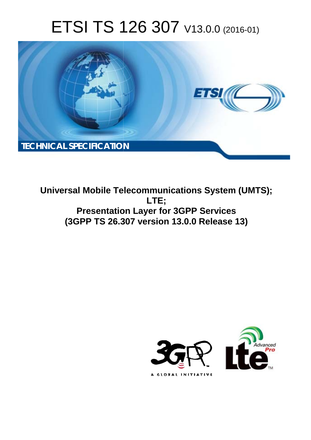# ETSI TS 126 307 V13.0.0 (2016-01)



**Universal Mobile Tel elecommunications System ( (UMTS); Presentation Layer for 3GPP Services (3GPP TS 26.3 .307 version 13.0.0 Release 13 13) LTE;** 

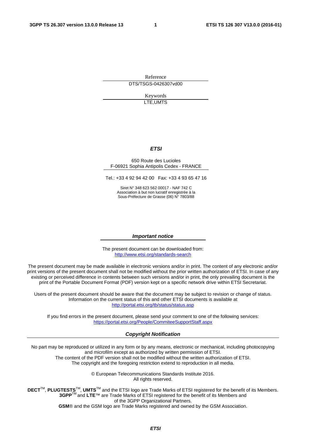Reference DTS/TSGS-0426307vd00

> Keywords LTE,UMTS

#### *ETSI*

#### 650 Route des Lucioles F-06921 Sophia Antipolis Cedex - FRANCE

Tel.: +33 4 92 94 42 00 Fax: +33 4 93 65 47 16

Siret N° 348 623 562 00017 - NAF 742 C Association à but non lucratif enregistrée à la Sous-Préfecture de Grasse (06) N° 7803/88

#### *Important notice*

The present document can be downloaded from: <http://www.etsi.org/standards-search>

The present document may be made available in electronic versions and/or in print. The content of any electronic and/or print versions of the present document shall not be modified without the prior written authorization of ETSI. In case of any existing or perceived difference in contents between such versions and/or in print, the only prevailing document is the print of the Portable Document Format (PDF) version kept on a specific network drive within ETSI Secretariat.

Users of the present document should be aware that the document may be subject to revision or change of status. Information on the current status of this and other ETSI documents is available at <http://portal.etsi.org/tb/status/status.asp>

If you find errors in the present document, please send your comment to one of the following services: <https://portal.etsi.org/People/CommiteeSupportStaff.aspx>

#### *Copyright Notification*

No part may be reproduced or utilized in any form or by any means, electronic or mechanical, including photocopying and microfilm except as authorized by written permission of ETSI.

The content of the PDF version shall not be modified without the written authorization of ETSI. The copyright and the foregoing restriction extend to reproduction in all media.

> © European Telecommunications Standards Institute 2016. All rights reserved.

**DECT**TM, **PLUGTESTS**TM, **UMTS**TM and the ETSI logo are Trade Marks of ETSI registered for the benefit of its Members. **3GPP**TM and **LTE**™ are Trade Marks of ETSI registered for the benefit of its Members and of the 3GPP Organizational Partners.

**GSM**® and the GSM logo are Trade Marks registered and owned by the GSM Association.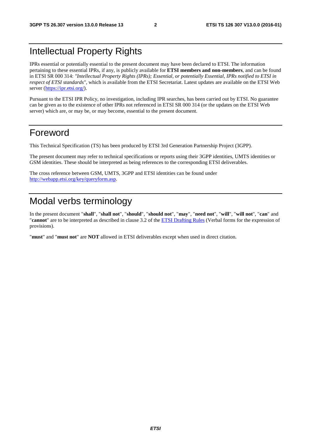### Intellectual Property Rights

IPRs essential or potentially essential to the present document may have been declared to ETSI. The information pertaining to these essential IPRs, if any, is publicly available for **ETSI members and non-members**, and can be found in ETSI SR 000 314: *"Intellectual Property Rights (IPRs); Essential, or potentially Essential, IPRs notified to ETSI in respect of ETSI standards"*, which is available from the ETSI Secretariat. Latest updates are available on the ETSI Web server [\(https://ipr.etsi.org/](https://ipr.etsi.org/)).

Pursuant to the ETSI IPR Policy, no investigation, including IPR searches, has been carried out by ETSI. No guarantee can be given as to the existence of other IPRs not referenced in ETSI SR 000 314 (or the updates on the ETSI Web server) which are, or may be, or may become, essential to the present document.

### Foreword

This Technical Specification (TS) has been produced by ETSI 3rd Generation Partnership Project (3GPP).

The present document may refer to technical specifications or reports using their 3GPP identities, UMTS identities or GSM identities. These should be interpreted as being references to the corresponding ETSI deliverables.

The cross reference between GSM, UMTS, 3GPP and ETSI identities can be found under <http://webapp.etsi.org/key/queryform.asp>.

### Modal verbs terminology

In the present document "**shall**", "**shall not**", "**should**", "**should not**", "**may**", "**need not**", "**will**", "**will not**", "**can**" and "**cannot**" are to be interpreted as described in clause 3.2 of the [ETSI Drafting Rules](http://portal.etsi.org/Help/editHelp!/Howtostart/ETSIDraftingRules.aspx) (Verbal forms for the expression of provisions).

"**must**" and "**must not**" are **NOT** allowed in ETSI deliverables except when used in direct citation.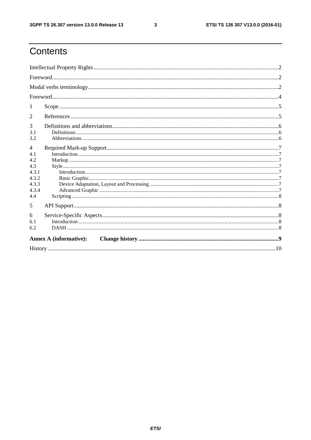$\mathbf{3}$ 

# Contents

| 1                                                                              |  |  |  |  |  |
|--------------------------------------------------------------------------------|--|--|--|--|--|
| 2                                                                              |  |  |  |  |  |
| 3<br>3.1                                                                       |  |  |  |  |  |
| 3.2                                                                            |  |  |  |  |  |
| $\overline{4}$<br>4.1<br>4.2<br>4.3<br>4.3.1<br>4.3.2<br>4.3.3<br>4.3.4<br>4.4 |  |  |  |  |  |
| 5                                                                              |  |  |  |  |  |
| 6<br>6.1<br>6.2                                                                |  |  |  |  |  |
| <b>Annex A (informative):</b>                                                  |  |  |  |  |  |
|                                                                                |  |  |  |  |  |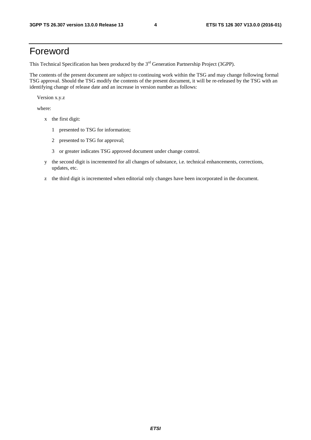### Foreword

This Technical Specification has been produced by the 3<sup>rd</sup> Generation Partnership Project (3GPP).

The contents of the present document are subject to continuing work within the TSG and may change following formal TSG approval. Should the TSG modify the contents of the present document, it will be re-released by the TSG with an identifying change of release date and an increase in version number as follows:

Version x.y.z

where:

- x the first digit:
	- 1 presented to TSG for information;
	- 2 presented to TSG for approval;
	- 3 or greater indicates TSG approved document under change control.
- y the second digit is incremented for all changes of substance, i.e. technical enhancements, corrections, updates, etc.
- z the third digit is incremented when editorial only changes have been incorporated in the document.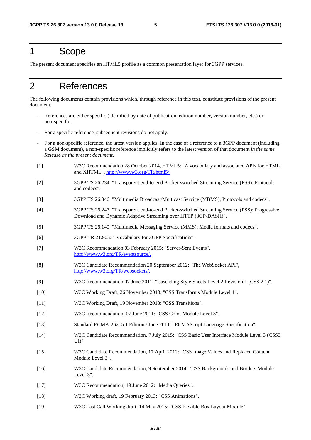#### 1 Scope

The present document specifies an HTML5 profile as a common presentation layer for 3GPP services.

### 2 References

The following documents contain provisions which, through reference in this text, constitute provisions of the present document.

- References are either specific (identified by date of publication, edition number, version number, etc.) or non-specific.
- For a specific reference, subsequent revisions do not apply.
- For a non-specific reference, the latest version applies. In the case of a reference to a 3GPP document (including a GSM document), a non-specific reference implicitly refers to the latest version of that document *in the same Release as the present document*.
- [1] W3C Recommendation 28 October 2014, HTML5: "A vocabulary and associated APIs for HTML and XHTML",<http://www.w3.org/TR/html5/>.
- [2] 3GPP TS 26.234: "Transparent end-to-end Packet-switched Streaming Service (PSS); Protocols and codecs".
- [3] 3GPP TS 26.346: "Multimedia Broadcast/Multicast Service (MBMS); Protocols and codecs".
- [4] 3GPP TS 26.247: "Transparent end-to-end Packet-switched Streaming Service (PSS); Progressive Download and Dynamic Adaptive Streaming over HTTP (3GP-DASH)".
- [5] 3GPP TS 26.140: "Multimedia Messaging Service (MMS); Media formats and codecs".
- [6] 3GPP TR 21.905: " Vocabulary for 3GPP Specifications".
- [7] W3C Recommendation 03 February 2015: "Server-Sent Events", <http://www.w3.org/TR/eventsource/>.
- [8] W3C Candidate Recommendation 20 September 2012: "The WebSocket API", [http://www.w3.org/TR/websockets/.](http://www.w3.org/TR/websockets/)
- [9] W3C Recommendation 07 June 2011: "Cascading Style Sheets Level 2 Revision 1 (CSS 2.1)".
- [10] W3C Working Draft, 26 November 2013: "CSS Transforms Module Level 1".
- [11] W3C Working Draft, 19 November 2013: "CSS Transitions".
- [12] W3C Recommendation, 07 June 2011: "CSS Color Module Level 3".
- [13] Standard ECMA-262, 5.1 Edition / June 2011: "ECMAScript Language Specification".
- [14] W3C Candidate Recommendation, 7 July 2015: "CSS Basic User Interface Module Level 3 (CSS3 UI)".
- [15] W3C Candidate Recommendation, 17 April 2012: "CSS Image Values and Replaced Content Module Level 3".
- [16] W3C Candidate Recommendation, 9 September 2014: "CSS Backgrounds and Borders Module Level 3".
- [17] W3C Recommendation, 19 June 2012: "Media Queries".
- [18] W3C Working draft, 19 February 2013: "CSS Animations".
- [19] W3C Last Call Working draft, 14 May 2015: "CSS Flexible Box Layout Module".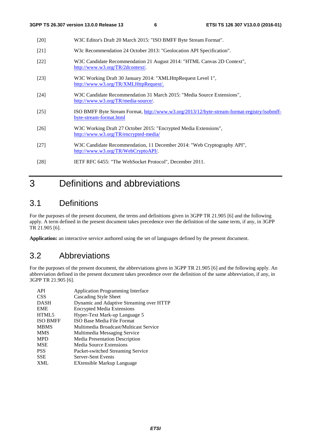| $[20]$ | W3C Editor's Draft 20 March 2015: "ISO BMFF Byte Stream Format".                                                       |
|--------|------------------------------------------------------------------------------------------------------------------------|
| $[21]$ | W3c Recommendation 24 October 2013: "Geolocation API Specification".                                                   |
| $[22]$ | W3C Candidate Recommendation 21 August 2014: "HTML Canvas 2D Context",<br>http://www.w3.org/TR/2dcontext/.             |
| $[23]$ | W3C Working Draft 30 January 2014: "XMLHttpRequest Level 1",<br>http://www.w3.org/TR/XMLHttpRequest/.                  |
| $[24]$ | W3C Candidate Recommendation 31 March 2015: "Media Source Extensions",<br>http://www.w3.org/TR/media-source/.          |
| $[25]$ | ISO BMFF Byte Stream Format, http://www.w3.org/2013/12/byte-stream-format-registry/isobmff-<br>byte-stream-format.html |
| $[26]$ | W3C Working Draft 27 October 2015: "Encrypted Media Extensions",<br>http://www.w3.org/TR/encrypted-media/              |
| $[27]$ | W3C Candidate Recommendation, 11 December 2014: "Web Cryptography API",<br>http://www.w3.org/TR/WebCryptoAPI/.         |
| [28]   | IETF RFC 6455: "The WebSocket Protocol", December 2011.                                                                |

# 3 Definitions and abbreviations

#### 3.1 Definitions

For the purposes of the present document, the terms and definitions given in 3GPP TR 21.905 [6] and the following apply. A term defined in the present document takes precedence over the definition of the same term, if any, in 3GPP TR 21.905 [6].

**Application:** an interactive service authored using the set of languages defined by the present document.

### 3.2 Abbreviations

For the purposes of the present document, the abbreviations given in 3GPP TR 21.905 [6] and the following apply. An abbreviation defined in the present document takes precedence over the definition of the same abbreviation, if any, in 3GPP TR 21.905 [6].

| API             | <b>Application Programming Interface</b> |
|-----------------|------------------------------------------|
| <b>CSS</b>      | Cascading Style Sheet                    |
| <b>DASH</b>     | Dynamic and Adaptive Streaming over HTTP |
| <b>EME</b>      | <b>Encrypted Media Extensions</b>        |
| HTML5           | Hyper-Text Mark-up Language 5            |
| <b>ISO BMFF</b> | ISO Base Media File Format               |
| <b>MBMS</b>     | Multimedia Broadcast/Multicast Service   |
| <b>MMS</b>      | Multimedia Messaging Service             |
| <b>MPD</b>      | Media Presentation Description           |
| <b>MSE</b>      | Media Source Extensions                  |
| <b>PSS</b>      | Packet-switched Streaming Service        |
| <b>SSE</b>      | Server-Sent Events                       |
| <b>XML</b>      | EXtensible Markup Language               |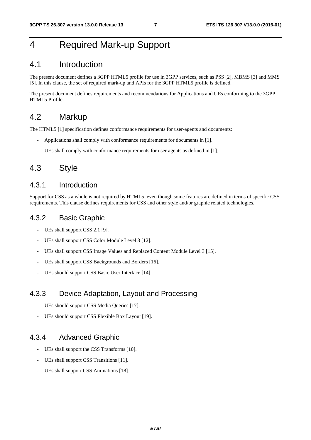### 4 Required Mark-up Support

#### 4.1 Introduction

The present document defines a 3GPP HTML5 profile for use in 3GPP services, such as PSS [2], MBMS [3] and MMS [5]. In this clause, the set of required mark-up and APIs for the 3GPP HTML5 profile is defined.

The present document defines requirements and recommendations for Applications and UEs conforming to the 3GPP HTML5 Profile.

#### 4.2 Markup

The HTML5 [1] specification defines conformance requirements for user-agents and documents:

- Applications shall comply with conformance requirements for documents in [1].
- UEs shall comply with conformance requirements for user agents as defined in [1].

#### 4.3 Style

#### 4.3.1 Introduction

Support for CSS as a whole is not required by HTML5, even though some features are defined in terms of specific CSS requirements. This clause defines requirements for CSS and other style and/or graphic related technologies.

#### 4.3.2 Basic Graphic

- UEs shall support CSS 2.1 [9].
- UEs shall support CSS Color Module Level 3 [12].
- UEs shall support CSS Image Values and Replaced Content Module Level 3 [15].
- UEs shall support CSS Backgrounds and Borders [16].
- UEs should support CSS Basic User Interface [14].

#### 4.3.3 Device Adaptation, Layout and Processing

- UEs should support CSS Media Queries [17].
- UEs should support CSS Flexible Box Layout [19].

#### 4.3.4 Advanced Graphic

- UEs shall support the CSS Transforms [10].
- UEs shall support CSS Transitions [11].
- UEs shall support CSS Animations [18].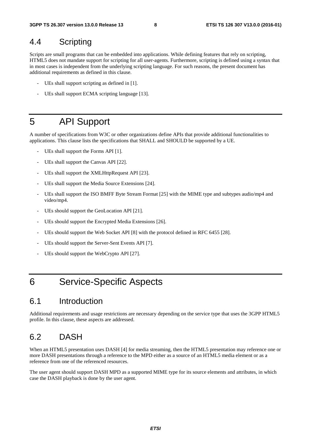#### 4.4 Scripting

Scripts are small programs that can be embedded into applications. While defining features that rely on scripting, HTML5 does not mandate support for scripting for all user-agents. Furthermore, scripting is defined using a syntax that in most cases is independent from the underlying scripting language. For such reasons, the present document has additional requirements as defined in this clause.

- UEs shall support scripting as defined in [1].
- UEs shall support ECMA scripting language [13].

## 5 API Support

A number of specifications from W3C or other organizations define APIs that provide additional functionalities to applications. This clause lists the specifications that SHALL and SHOULD be supported by a UE.

- UEs shall support the Forms API [1].
- UEs shall support the Canvas API [22].
- UEs shall support the XMLHttpRequest API [23].
- UEs shall support the Media Source Extensions [24].
- UEs shall support the ISO BMFF Byte Stream Format [25] with the MIME type and subtypes audio/mp4 and video/mp4.
- UEs should support the GeoLocation API [21].
- UEs should support the Encrypted Media Extensions [26].
- UEs should support the Web Socket API [8] with the protocol defined in RFC 6455 [28].
- UEs should support the Server-Sent Events API [7].
- UEs should support the WebCrypto API [27].

### 6 Service-Specific Aspects

#### 6.1 Introduction

Additional requirements and usage restrictions are necessary depending on the service type that uses the 3GPP HTML5 profile. In this clause, these aspects are addressed.

#### 6.2 DASH

When an HTML5 presentation uses DASH [4] for media streaming, then the HTML5 presentation may reference one or more DASH presentations through a reference to the MPD either as a source of an HTML5 media element or as a reference from one of the referenced resources.

The user agent should support DASH MPD as a supported MIME type for its source elements and attributes, in which case the DASH playback is done by the user agent.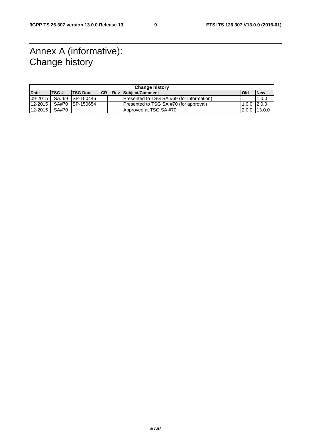### Annex A (informative): Change history

| <b>Change history</b> |             |                 |            |  |                                           |                  |            |
|-----------------------|-------------|-----------------|------------|--|-------------------------------------------|------------------|------------|
| <b>Date</b>           | <b>TSG#</b> | <b>TSG Doc.</b> | <b>ICR</b> |  | <b>Rev Subject/Comment</b>                | Old              | <b>New</b> |
| 09-2015               | SA#69       | SP-150446       |            |  | Presented to TSG SA #69 (for information) |                  | 1.0.0      |
| 12-2015               | SA#70       | ISP-150654      |            |  | Presented to TSG SA #70 (for approval)    | $1.0.0$ $12.0.0$ |            |
| 12-2015               | SA#70       |                 |            |  | Approved at TSG SA #70                    | 2.0.0            | 13.0.0     |